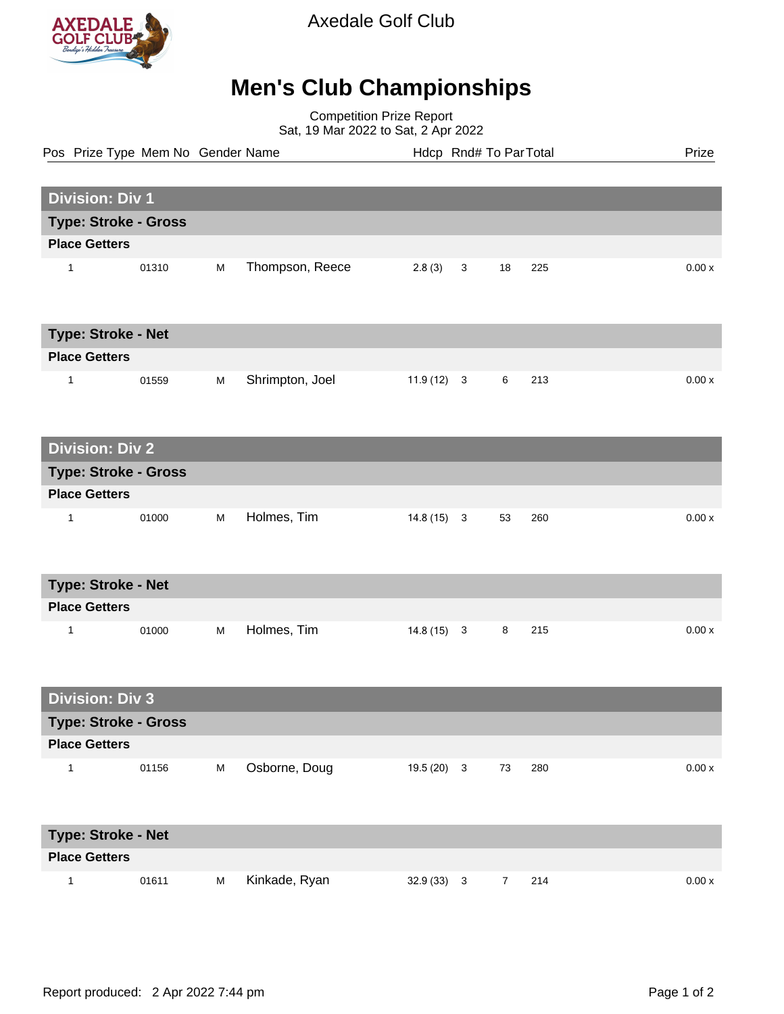

Axedale Golf Club

## **Men's Club Championships**

Competition Prize Report Sat, 19 Mar 2022 to Sat, 2 Apr 2022

| Pos Prize Type Mem No Gender Name |       |   |                 |              |             | Hdcp Rnd# To Par Total |     | Prize  |
|-----------------------------------|-------|---|-----------------|--------------|-------------|------------------------|-----|--------|
|                                   |       |   |                 |              |             |                        |     |        |
| <b>Division: Div 1</b>            |       |   |                 |              |             |                        |     |        |
| <b>Type: Stroke - Gross</b>       |       |   |                 |              |             |                        |     |        |
| <b>Place Getters</b>              |       |   |                 |              |             |                        |     |        |
| 1                                 | 01310 | M | Thompson, Reece | 2.8(3)       | $\mathbf 3$ | 18                     | 225 | 0.00x  |
| <b>Type: Stroke - Net</b>         |       |   |                 |              |             |                        |     |        |
| <b>Place Getters</b>              |       |   |                 |              |             |                        |     |        |
| $\mathbf{1}$                      | 01559 | M | Shrimpton, Joel | $11.9(12)$ 3 |             | $\,6\,$                | 213 | 0.00x  |
| <b>Division: Div 2</b>            |       |   |                 |              |             |                        |     |        |
| <b>Type: Stroke - Gross</b>       |       |   |                 |              |             |                        |     |        |
| <b>Place Getters</b>              |       |   |                 |              |             |                        |     |        |
| $\mathbf{1}$                      | 01000 | M | Holmes, Tim     | $14.8(15)$ 3 |             | 53                     | 260 | 0.00x  |
| Type: Stroke - Net                |       |   |                 |              |             |                        |     |        |
| <b>Place Getters</b>              |       |   |                 |              |             |                        |     |        |
| 1                                 | 01000 | M | Holmes, Tim     | $14.8(15)$ 3 |             | 8                      | 215 | 0.00x  |
| <b>Division: Div 3</b>            |       |   |                 |              |             |                        |     |        |
| Type: Stroke - Gross              |       |   |                 |              |             |                        |     |        |
| <b>Place Getters</b>              |       |   |                 |              |             |                        |     |        |
| $\mathbf{1}$                      | 01156 | M | Osborne, Doug   | $19.5(20)$ 3 |             | 73                     | 280 | 0.00 x |
| Type: Stroke - Net                |       |   |                 |              |             |                        |     |        |
| <b>Place Getters</b>              |       |   |                 |              |             |                        |     |        |

1 01611 M Kinkade, Ryan 32.9 (33) 3 7 214 0.00 x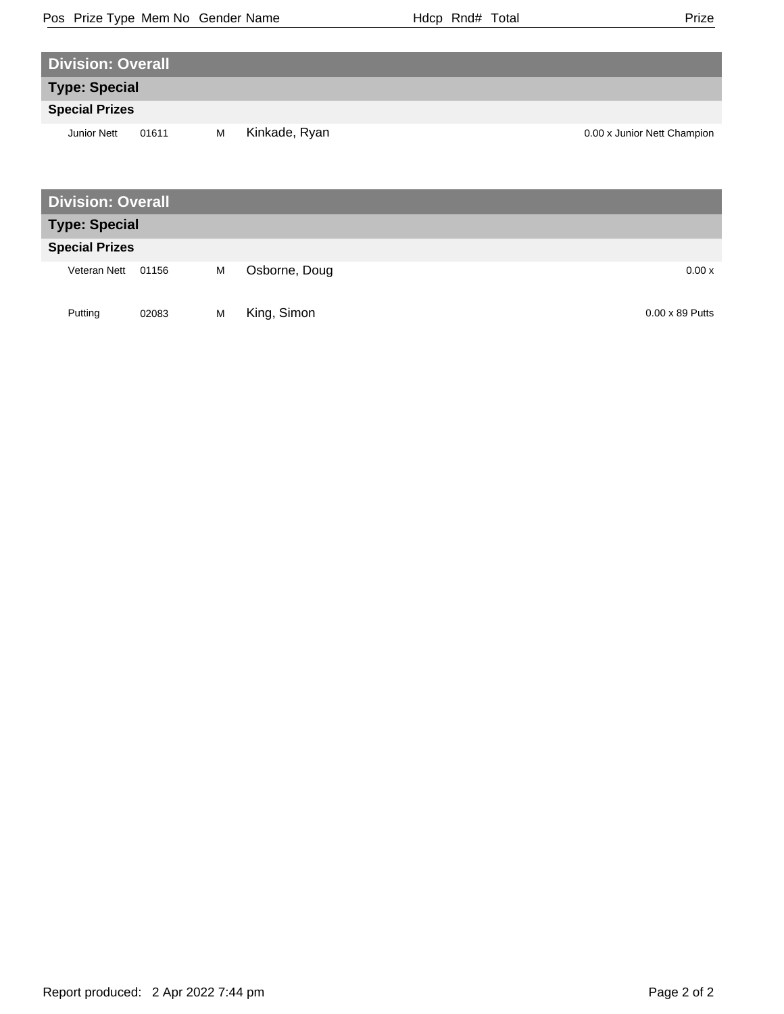| w<br>I |
|--------|

| <b>Division: Overall</b> |       |   |               |                             |
|--------------------------|-------|---|---------------|-----------------------------|
| <b>Type: Special</b>     |       |   |               |                             |
| <b>Special Prizes</b>    |       |   |               |                             |
| <b>Junior Nett</b>       | 01611 | M | Kinkade, Ryan | 0.00 x Junior Nett Champion |
|                          |       |   |               |                             |
|                          |       |   |               |                             |
| <b>Division: Overall</b> |       |   |               |                             |
| <b>Type: Special</b>     |       |   |               |                             |
| <b>Special Prizes</b>    |       |   |               |                             |
| Veteran Nett             | 01156 | M | Osborne, Doug | 0.00x                       |

| Putting |  | 02083 M King, Simon | $0.00 \times 89$ Putts |
|---------|--|---------------------|------------------------|
|         |  |                     |                        |